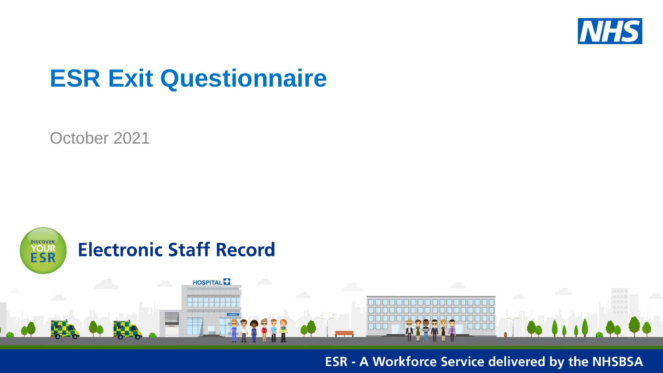

# **ESR Exit Questionnaire**

October 2021



**ESR - A Workforce Service delivered by the NHSBSA**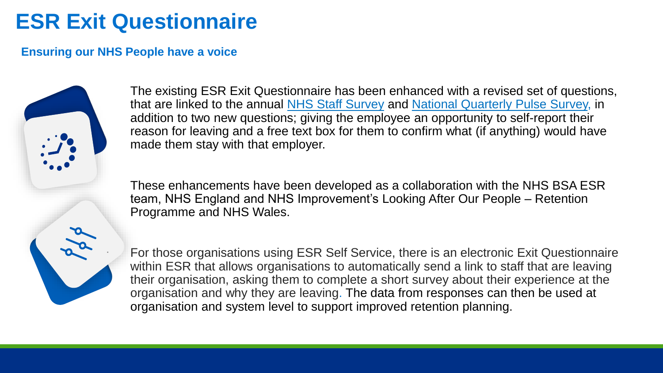## **ESR Exit Questionnaire**

### **Ensuring our NHS People have a voice**



that are linked to the annual NHS [Staff Survey](https://www.nhsstaffsurveys.com/about-the-survey/) and [National Quarterly Pulse Survey,](https://www.england.nhs.uk/fft/nqps/) in and div minud to the dimiddle addition to two new questions; giving the employee an opportunity to self-report their reason for leaving and a free text box for them to confirm what (if anything) would have made them stay with that employer. The existing ESR Exit Questionnaire has been enhanced with a revised set of questions,

These enhancements have been developed as a collaboration with the NHS BSA ESR team, NHS England and NHS Improvement's Looking After Our People – Retention Programme and NHS Wales.

For those organisations using ESR Self Service, there is an electronic Exit Questionnaire within ESR that allows organisations to automatically send a link to staff that are leaving their organisation, asking them to complete a short survey about their experience at the organisation and why they are leaving. The data from responses can then be used at organisation and system level to support improved retention planning.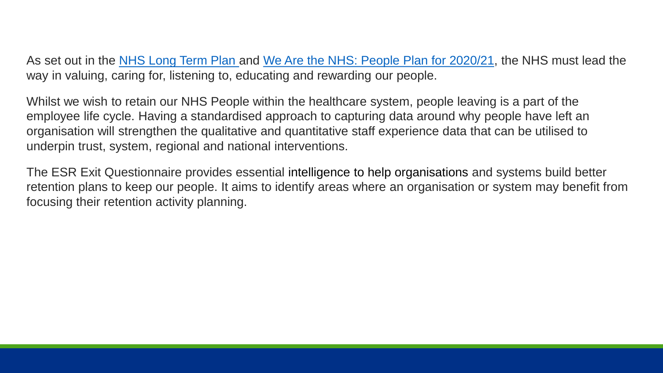As set out in the [NHS Long Term Plan](https://www.longtermplan.nhs.uk/) and [We Are the NHS: People Plan for 2020/21,](https://www.england.nhs.uk/ournhspeople/) the NHS must lead the way in valuing, caring for, listening to, educating and rewarding our people.

Whilst we wish to retain our NHS People within the healthcare system, people leaving is a part of the employee life cycle. Having a standardised approach to capturing data around why people have left an organisation will strengthen the qualitative and quantitative staff experience data that can be utilised to underpin trust, system, regional and national interventions.

The ESR Exit Questionnaire provides essential intelligence to help organisations and systems build better retention plans to keep our people. It aims to identify areas where an organisation or system may benefit from focusing their retention activity planning.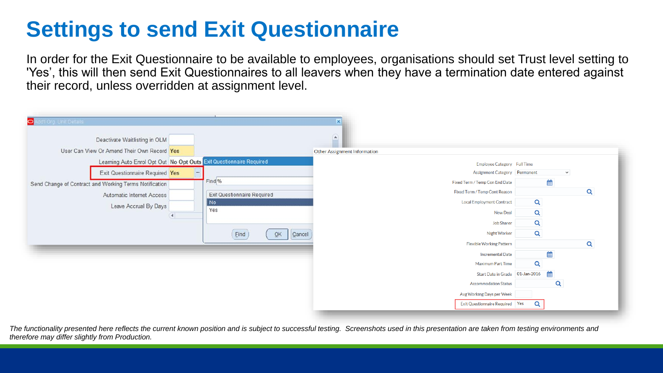## **Settings to send Exit Questionnaire**

In order for the Exit Questionnaire to be available to employees, organisations should set Trust level setting to 'Yes', this will then send Exit Questionnaires to all leavers when they have a termination date entered against their record, unless overridden at assignment level.

| o.<br>dd'i Org. Unit Details<br>Deactivate Waitlisting in OLM       |                             | ×<br>$\Omega$                     |   |              |
|---------------------------------------------------------------------|-----------------------------|-----------------------------------|---|--------------|
| User Can View Or Amend Their Own Record Yes                         |                             | Other Assignment Information      |   |              |
| Learning Auto Enrol Opt Out No Opt Outs Exit Questionnaire Required |                             | Employee Category Full Time       |   |              |
| Exit Questionnaire Required Yes                                     |                             | Assignment Category Permanent     |   | $\checkmark$ |
| Send Change of Contract and Working Terms Notification              | Find <sub>%</sub>           | Fixed Term / Temp Con End Date    | 雦 |              |
| Automatic Internet Access                                           | Exit Questionnaire Required | Fixed Term / Temp Cont Reason     |   | Q            |
| Leave Accrual By Days                                               | No.                         | <b>Local Employment Contract</b>  | Q |              |
|                                                                     | Yes                         | <b>New Deal</b>                   | Q |              |
|                                                                     |                             | <b>Job Sharer</b>                 | Q |              |
|                                                                     | Eind<br>QK<br>Cancel        | Night Worker                      | Q |              |
|                                                                     |                             | <b>Flexible Working Pattern</b>   |   | Q            |
|                                                                     |                             | <b>Incremental Date</b>           | 雦 |              |
|                                                                     |                             | <b>Maximum Part Time</b>          | Q |              |
|                                                                     |                             | Start Date in Grade 01-Jan-2016   |   |              |
|                                                                     |                             | <b>Accommodation Status</b>       |   | Q            |
|                                                                     |                             | Avg Working Days per Week         |   |              |
|                                                                     |                             | Exit Questionnaire Required   Yes | Q |              |

*The functionality presented here reflects the current known position and is subject to successful testing. Screenshots used in this presentation are taken from testing environments and therefore may differ slightly from Production.*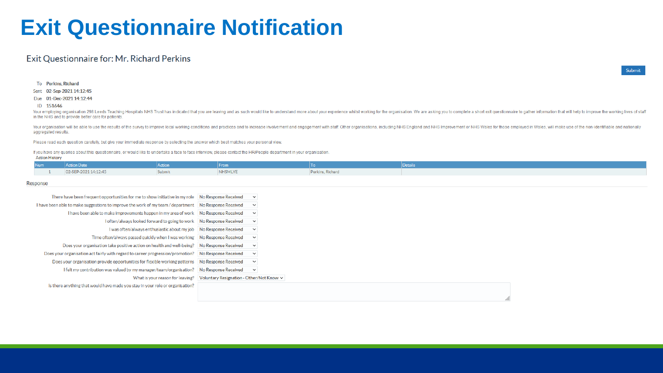### **Exit Questionnaire Notification**

#### Exit Questionnaire for: Mr. Richard Perkins

To Perkins, Richard

Sent 02-Sep-2021 14:12:45

Due 01-Dec-2021 14:12:44

#### ID 151646

Your employing organisation 298 Leeds Teaching Hospitals NHS Trust has indicated that you are leaving and as such would like to understand more about your experience whilst working for the organisation. We are asking you t in the NHS and to provide better care for patients.

Your organisation will be able to use the results of the survey to improve local working conditions and practices and to increase involvement and engagement with staff. Other organisations, including NHS England and NHS Im aggregated results.

Please read each question carefully, but give your immediate response by selecting the answer which best matches your personal view.

If you have any queries about this questionnaire, or would like to undertake a face to face interview, please contact the HR/People department in your organisation.

|  | <b>Action History</b> |
|--|-----------------------|
|--|-----------------------|

| <b>Num</b> | an Date.             |         |                |                                                  |  |
|------------|----------------------|---------|----------------|--------------------------------------------------|--|
|            | 02-SEP-2021 14:12:45 | ------- | <b>NHSMLYE</b> | Perkins, Richaro<br><b>Contractor</b> Contractor |  |

#### Response

| There have been frequent opportunities for me to show initiative in my role No Response Received      |                                           | $\checkmark$ |  |
|-------------------------------------------------------------------------------------------------------|-------------------------------------------|--------------|--|
| I have been able to make suggestions to improve the work of my team / department No Response Received |                                           | $\checkmark$ |  |
| I have been able to make improvements happen in my area of work No Response Received                  |                                           | $\checkmark$ |  |
| 1 often/always looked forward to going to work No Response Received                                   |                                           | $\checkmark$ |  |
| I was often/always enthusiastic about my job No Response Received                                     |                                           | $\checkmark$ |  |
| Time often/always passed quickly when I was working No Response Received                              |                                           | $\checkmark$ |  |
| Does your organisation take positive action on health and well-being?                                 | No Response Received                      | $\checkmark$ |  |
| Does your organisation act fairly with regard to career progression/promotion? No Response Received   |                                           | $\checkmark$ |  |
| Does your organisation provide opportunities for flexible working patterns                            | No Response Received                      | $\checkmark$ |  |
| I felt my contribution was valued by my manager/team/organisation?                                    | No Response Received                      | $\checkmark$ |  |
| What is your reason for leaving?                                                                      | Voluntary Resignation - Other/Not Knowl ~ |              |  |
| Is there anything that would have made you stay in your role or organisation?                         |                                           |              |  |
|                                                                                                       |                                           |              |  |
|                                                                                                       |                                           |              |  |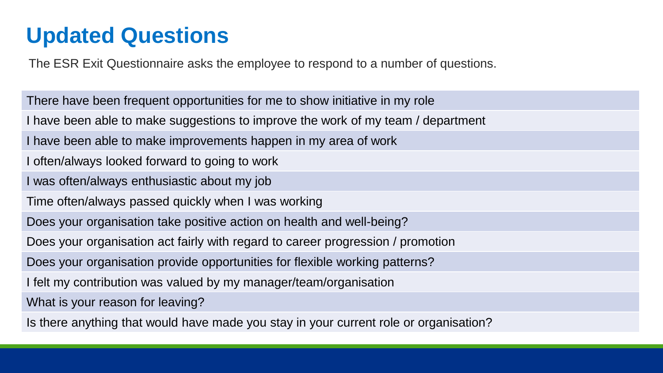## **Updated Questions**

The ESR Exit Questionnaire asks the employee to respond to a number of questions.

There have been frequent opportunities for me to show initiative in my role I have been able to make suggestions to improve the work of my team / department I have been able to make improvements happen in my area of work I often/always looked forward to going to work I was often/always enthusiastic about my job Time often/always passed quickly when I was working Does your organisation take positive action on health and well-being? Does your organisation act fairly with regard to career progression / promotion Does your organisation provide opportunities for flexible working patterns? I felt my contribution was valued by my manager/team/organisation What is your reason for leaving?

Is there anything that would have made you stay in your current role or organisation?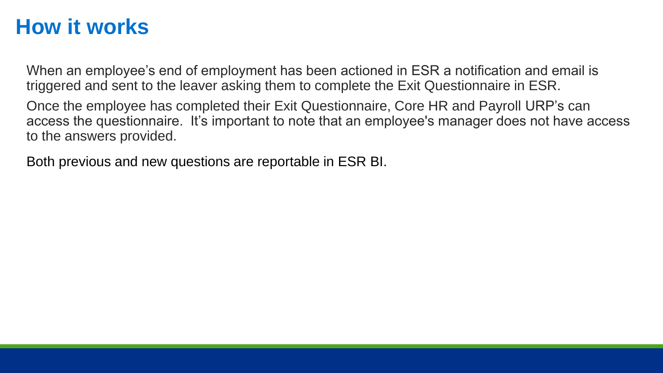### **How it works**

When an employee's end of employment has been actioned in ESR a notification and email is triggered and sent to the leaver asking them to complete the Exit Questionnaire in ESR.

Once the employee has completed their Exit Questionnaire, Core HR and Payroll URP's can access the questionnaire. It's important to note that an employee's manager does not have access to the answers provided.

Both previous and new questions are reportable in ESR BI.